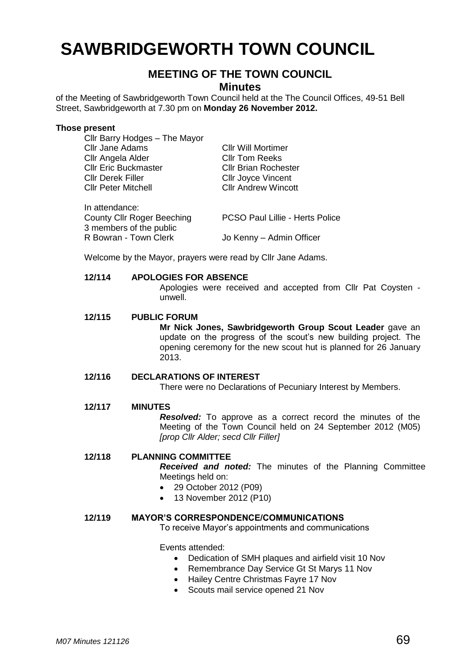# **SAWBRIDGEWORTH TOWN COUNCIL**

# **MEETING OF THE TOWN COUNCIL**

**Minutes**

of the Meeting of Sawbridgeworth Town Council held at the The Council Offices, 49-51 Bell Street, Sawbridgeworth at 7.30 pm on **Monday 26 November 2012.**

#### **Those present**

| Cllr Barry Hodges - The Mayor     |                                        |
|-----------------------------------|----------------------------------------|
| <b>Cllr Jane Adams</b>            | <b>CIIr Will Mortimer</b>              |
| Cllr Angela Alder                 | <b>CIIr Tom Reeks</b>                  |
| <b>Cllr Eric Buckmaster</b>       | <b>Cllr Brian Rochester</b>            |
| <b>CIIr Derek Filler</b>          | <b>Cllr Joyce Vincent</b>              |
| <b>Cllr Peter Mitchell</b>        | <b>Cllr Andrew Wincott</b>             |
| In attendance:                    |                                        |
| <b>County Cllr Roger Beeching</b> | <b>PCSO Paul Lillie - Herts Police</b> |
| 3 members of the public           |                                        |
| R Bowran - Town Clerk             | Jo Kenny - Admin Officer               |

Welcome by the Mayor, prayers were read by Cllr Jane Adams.

# **12/114 APOLOGIES FOR ABSENCE**

Apologies were received and accepted from Cllr Pat Coysten unwell.

# **12/115 PUBLIC FORUM**

**Mr Nick Jones, Sawbridgeworth Group Scout Leader** gave an update on the progress of the scout's new building project. The opening ceremony for the new scout hut is planned for 26 January 2013.

# **12/116 DECLARATIONS OF INTEREST**

There were no Declarations of Pecuniary Interest by Members.

# **12/117 MINUTES**

*Resolved:* To approve as a correct record the minutes of the Meeting of the Town Council held on 24 September 2012 (M05) *[prop Cllr Alder; secd Cllr Filler]*

# **12/118 PLANNING COMMITTEE**

*Received and noted:* The minutes of the Planning Committee Meetings held on:

- 29 October 2012 (P09)
- 13 November 2012 (P10)

#### **12/119 MAYOR'S CORRESPONDENCE/COMMUNICATIONS**

To receive Mayor's appointments and communications

Events attended:

- Dedication of SMH plaques and airfield visit 10 Nov
- Remembrance Day Service Gt St Marys 11 Nov
- Hailey Centre Christmas Fayre 17 Nov
- Scouts mail service opened 21 Nov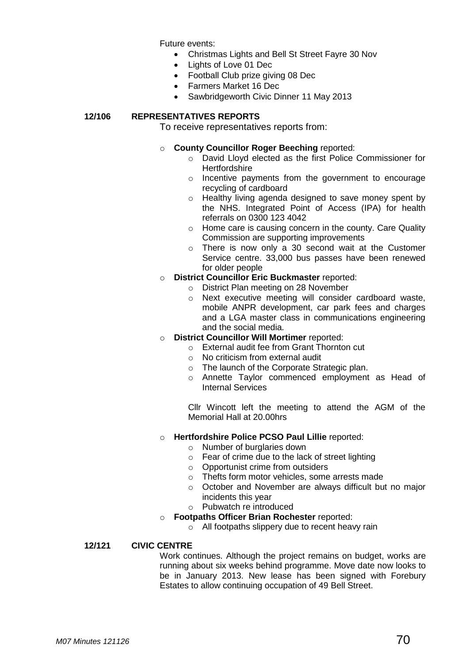Future events:

- Christmas Lights and Bell St Street Fayre 30 Nov
- Lights of Love 01 Dec
- Football Club prize giving 08 Dec
- Farmers Market 16 Dec
- Sawbridgeworth Civic Dinner 11 May 2013

# **12/106 REPRESENTATIVES REPORTS**

To receive representatives reports from:

- o **County Councillor Roger Beeching** reported:
	- o David Lloyd elected as the first Police Commissioner for **Hertfordshire**
	- o Incentive payments from the government to encourage recycling of cardboard
	- o Healthy living agenda designed to save money spent by the NHS. Integrated Point of Access (IPA) for health referrals on 0300 123 4042
	- o Home care is causing concern in the county. Care Quality Commission are supporting improvements
	- o There is now only a 30 second wait at the Customer Service centre. 33,000 bus passes have been renewed for older people
- o **District Councillor Eric Buckmaster** reported:
	- o District Plan meeting on 28 November
	- o Next executive meeting will consider cardboard waste, mobile ANPR development, car park fees and charges and a LGA master class in communications engineering and the social media.
- o **District Councillor Will Mortimer** reported:
	- o External audit fee from Grant Thornton cut
	- o No criticism from external audit
	- o The launch of the Corporate Strategic plan.
	- o Annette Taylor commenced employment as Head of Internal Services

Cllr Wincott left the meeting to attend the AGM of the Memorial Hall at 20.00hrs

# o **Hertfordshire Police PCSO Paul Lillie** reported:

- o Number of burglaries down
- $\circ$  Fear of crime due to the lack of street lighting
- o Opportunist crime from outsiders
- o Thefts form motor vehicles, some arrests made
- o October and November are always difficult but no major incidents this year
- o Pubwatch re introduced
- o **Footpaths Officer Brian Rochester** reported:
	- o All footpaths slippery due to recent heavy rain

#### **12/121 CIVIC CENTRE**

Work continues. Although the project remains on budget, works are running about six weeks behind programme. Move date now looks to be in January 2013. New lease has been signed with Forebury Estates to allow continuing occupation of 49 Bell Street.